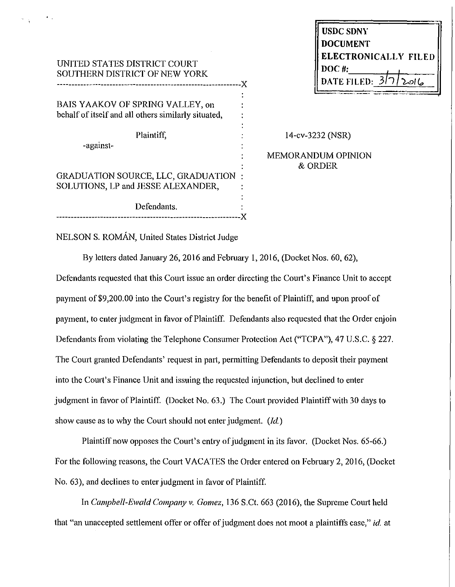| UNITED STATES DISTRICT COURT  |
|-------------------------------|
| SOUTHERN DISTRICT OF NEW YORK |
|                               |

BAIS YAAKOV OF SPRING VALLEY, on behalf of itself and all others similarly situated,

Plaintiff,

-against-

GRADUATION SOURCE, LLC, GRADUATION SOLUTIONS, LP and JESSE ALEXANDER,

Defendants. ---------------------------------------------------------------){ 14-cv-3232 (NSR)

MEMORANDUM OPINION &ORDER

NELSON S. ROMÁN, United States District Judge

By letters dated January 26, 2016 and Febrnary 1, 2016, (Docket Nos. 60, 62),

Defendants requested that this Court issue an order directing the Coutt's Finance Unit to accept payment of\$9,200.00 into the Comt's registry for the benefit of Plaintiff, and upon proof of payment, to enter judgment in favor of Plaintiff. Defendants also requested that the Order enjoin Defendants from violating the Telephone Consumer Protection Act ("TCPA"), 47 U.S.C. § 227. The Court granted Defendants' request in part, permitting Defendants to deposit their payment into the Court's Finance Unit and issuing the requested injunction, but declined to enter judgment in favor of Plaintiff. (Docket No. 63.) The Court provided Plaintiff with 30 days to show cause as to why the Comt should not enter judgment. *(Id.)* 

Plaintiff now opposes the Court's entry of judgment in its favor. (Docket Nos. 65-66.) For the following reasons, the Court VACATES the Order entered on February 2, 2016, (Docket No. 63), and declines to enter judgment in favor of Plaintiff.

In *Campbell-Ewald Company v. Gomez,* 136 S.Ct. 663 (2016), the Supreme Court held that "an unaccepted settlement offer or offer of judgment does not moot a plaintiffs case," *id.* at

| <b>USDC SDNY</b>     |        |
|----------------------|--------|
| <b>DOCUMENT</b>      |        |
| ELECTRONICALLY FILED |        |
| DOC#:                |        |
| <b>DATE FILED:</b>   | ۱۵/۱ ک |
|                      |        |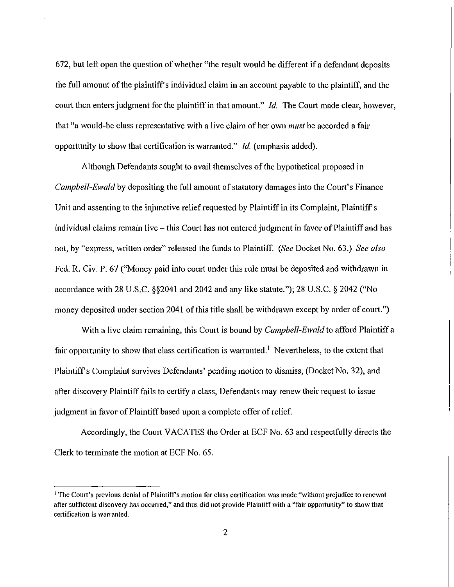672, but left open the question of whether "the result would be different if a defendant deposits the full amount of the plaintiffs individual claim in an account payable to the plaintiff, and the court then enters judgment for the plaintiff in that amount." *Id.* The Court made clear, however, that "a would-be class representative with a live claim of her own *must* be accorded a fair opp01tunity to show that certification is warranted." *Id.* (emphasis added).

Although Defendants sought to avail themselves of the hypothetical proposed in *Campbell-Ewald* by depositing the full amount of statutory damages into the Court's Finance Unit and assenting to the injunctive relief requested by Plaintiff in its Complaint, Plaintiff's individual claims remain live – this Court has not entered judgment in favor of Plaintiff and has not, by "express, written order" released the funds to Plaintiff. *(See* Docket No. 63.) *See also*  Fed. R. Civ. P. 67 ("Money paid into comt under this rule must be deposited and withdrawn in accordance with 28 U.S.C. §§2041 and 2042 and any like statute."); 28 U.S.C. § 2042 ("No money deposited under section 2041 of this title shall be withdrawn except by order of court.")

With a live claim remaining, this Court is bound by *Campbell-Ewald* to afford Plaintiff a fair opportunity to show that class certification is warranted.<sup>1</sup> Nevertheless, to the extent that Plaintiff's Complaint survives Defendants' pending motion to dismiss, (Docket No. 32), and after discovery Plaintiff fails to certify a class, Defendants may renew their request to issue judgment in favor of Plaintiff based upon a complete offer of relief.

Accordingly, the Comt VACATES the Order at ECF No. 63 and respectfully directs the Clerk to terminate the motion at ECF No. 65.

<sup>&</sup>lt;sup>1</sup> The Court's previous denial of Plaintiff's motion for class certification was made "without prejudice to renewal after sufficient discovery has occurred," and thus did not provide PlaintifTwith a "fair opportunity" to show that certification is warranted.